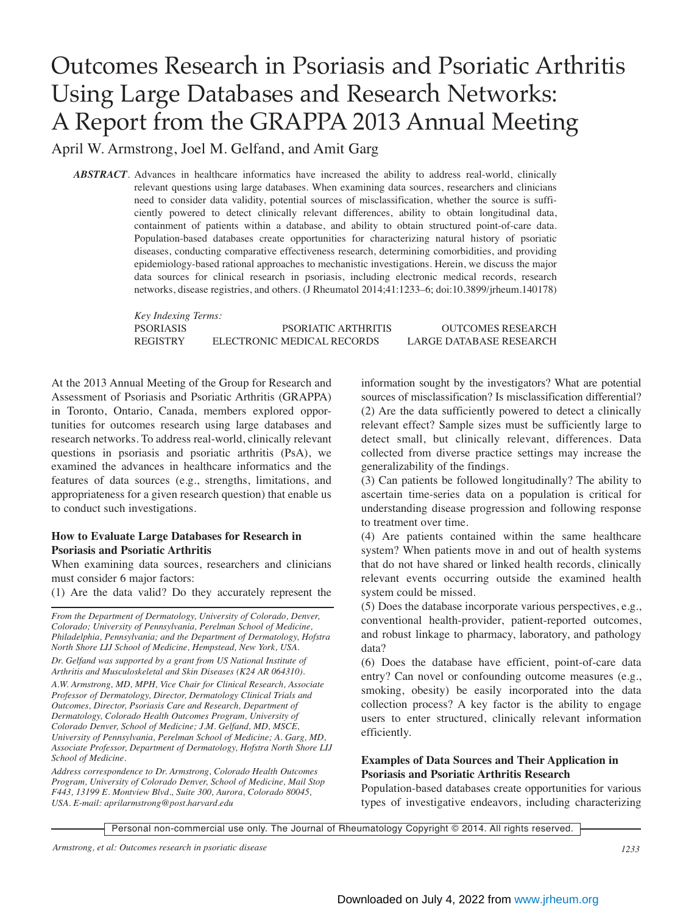## Outcomes Research in Psoriasis and Psoriatic Arthritis Using Large Databases and Research Networks: A Report from the GRAPPA 2013 Annual Meeting

April W. Armstrong, Joel M. Gelfand, and Amit Garg

*ABSTRACT*. Advances in healthcare informatics have increased the ability to address real-world, clinically relevant questions using large databases. When examining data sources, researchers and clinicians need to consider data validity, potential sources of misclassification, whether the source is sufficiently powered to detect clinically relevant differences, ability to obtain longitudinal data, containment of patients within a database, and ability to obtain structured point-of-care data. Population-based databases create opportunities for characterizing natural history of psoriatic diseases, conducting comparative effectiveness research, determining comorbidities, and providing epidemiology-based rational approaches to mechanistic investigations. Herein, we discuss the major data sources for clinical research in psoriasis, including electronic medical records, research networks, disease registries, and others. (J Rheumatol 2014;41:1233–6; doi:10.3899/jrheum.140178)

> *Key Indexing Terms:* PSORIASIS PSORIATIC ARTHRITIS OUTCOMES RESEARCH REGISTRY ELECTRONIC MEDICAL RECORDS LARGE DATABASE RESEARCH

At the 2013 Annual Meeting of the Group for Research and Assessment of Psoriasis and Psoriatic Arthritis (GRAPPA) in Toronto, Ontario, Canada, members explored opportunities for outcomes research using large databases and research networks. To address real-world, clinically relevant questions in psoriasis and psoriatic arthritis (PsA), we examined the advances in healthcare informatics and the features of data sources (e.g., strengths, limitations, and appropriateness for a given research question) that enable us to conduct such investigations.

## **How to Evaluate Large Databases for Research in Psoriasis and Psoriatic Arthritis**

When examining data sources, researchers and clinicians must consider 6 major factors:

(1) Are the data valid? Do they accurately represent the

*From the Department of Dermatology, University of Colorado, Denver, Colorado; University of Pennsylvania, Perelman School of Medicine, Philadelphia, Pennsylvania; and the Department of Dermatology, Hofstra North Shore LIJ School of Medicine, Hempstead, New York, USA.*

*Dr. Gelfand was supported by a grant from US National Institute of Arthritis and Musculoskeletal and Skin Diseases (K24 AR 064310).*

*A.W. Armstrong, MD, MPH, Vice Chair for Clinical Research, Associate Professor of Dermatology, Director, Dermatology Clinical Trials and Outcomes, Director, Psoriasis Care and Research, Department of Dermatology, Colorado Health Outcomes Program, University of Colorado Denver, School of Medicine; J.M. Gelfand, MD, MSCE, University of Pennsylvania, Perelman School of Medicine; A. Garg, MD, Associate Professor, Department of Dermatology, Hofstra North Shore LIJ School of Medicine.* 

*Address correspondence to Dr. Armstrong, Colorado Health Outcomes Program, University of Colorado Denver, School of Medicine, Mail Stop F443, 13199 E. Montview Blvd., Suite 300, Aurora, Colorado 80045, USA. E-mail: aprilarmstrong@post.harvard.edu*

information sought by the investigators? What are potential sources of misclassification? Is misclassification differential? (2) Are the data sufficiently powered to detect a clinically relevant effect? Sample sizes must be sufficiently large to detect small, but clinically relevant, differences. Data collected from diverse practice settings may increase the generalizability of the findings.

(3) Can patients be followed longitudinally? The ability to ascertain time-series data on a population is critical for understanding disease progression and following response to treatment over time.

(4) Are patients contained within the same healthcare system? When patients move in and out of health systems that do not have shared or linked health records, clinically relevant events occurring outside the examined health system could be missed.

(5) Does the database incorporate various perspectives, e.g., conventional health-provider, patient-reported outcomes, and robust linkage to pharmacy, laboratory, and pathology data?

(6) Does the database have efficient, point-of-care data entry? Can novel or confounding outcome measures (e.g., smoking, obesity) be easily incorporated into the data collection process? A key factor is the ability to engage users to enter structured, clinically relevant information efficiently.

## **Examples of Data Sources and Their Application in Psoriasis and Psoriatic Arthritis Research**

Population-based databases create opportunities for various types of investigative endeavors, including characterizing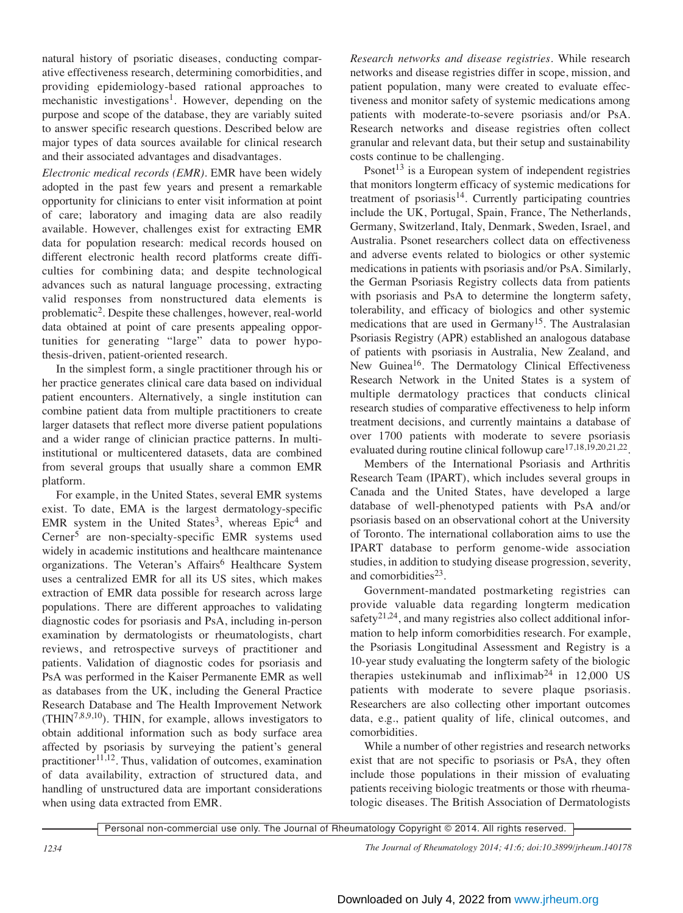natural history of psoriatic diseases, conducting comparative effectiveness research, determining comorbidities, and providing epidemiology-based rational approaches to mechanistic investigations<sup>1</sup>. However, depending on the purpose and scope of the database, they are variably suited to answer specific research questions. Described below are major types of data sources available for clinical research and their associated advantages and disadvantages.

*Electronic medical records (EMR).* EMR have been widely adopted in the past few years and present a remarkable opportunity for clinicians to enter visit information at point of care; laboratory and imaging data are also readily available. However, challenges exist for extracting EMR data for population research: medical records housed on different electronic health record platforms create difficulties for combining data; and despite technological advances such as natural language processing, extracting valid responses from nonstructured data elements is problematic2. Despite these challenges, however, real-world data obtained at point of care presents appealing opportunities for generating "large" data to power hypothesis-driven, patient-oriented research.

In the simplest form, a single practitioner through his or her practice generates clinical care data based on individual patient encounters. Alternatively, a single institution can combine patient data from multiple practitioners to create larger datasets that reflect more diverse patient populations and a wider range of clinician practice patterns. In multiinstitutional or multicentered datasets, data are combined from several groups that usually share a common EMR platform.

For example, in the United States, several EMR systems exist. To date, EMA is the largest dermatology-specific EMR system in the United States<sup>3</sup>, whereas  $Epic<sup>4</sup>$  and Cerner<sup>5</sup> are non-specialty-specific EMR systems used widely in academic institutions and healthcare maintenance organizations. The Veteran's Affairs<sup>6</sup> Healthcare System uses a centralized EMR for all its US sites, which makes extraction of EMR data possible for research across large populations. There are different approaches to validating diagnostic codes for psoriasis and PsA, including in-person examination by dermatologists or rheumatologists, chart reviews, and retrospective surveys of practitioner and patients. Validation of diagnostic codes for psoriasis and PsA was performed in the Kaiser Permanente EMR as well as databases from the UK, including the General Practice Research Database and The Health Improvement Network  $(THIN^{7,8,9,10})$ . THIN, for example, allows investigators to obtain additional information such as body surface area affected by psoriasis by surveying the patient's general  $practitioner<sup>11,12</sup>$ . Thus, validation of outcomes, examination of data availability, extraction of structured data, and handling of unstructured data are important considerations when using data extracted from EMR.

*Research networks and disease registries.* While research networks and disease registries differ in scope, mission, and patient population, many were created to evaluate effectiveness and monitor safety of systemic medications among patients with moderate-to-severe psoriasis and/or PsA. Research networks and disease registries often collect granular and relevant data, but their setup and sustainability costs continue to be challenging.

Psonet<sup>13</sup> is a European system of independent registries that monitors longterm efficacy of systemic medications for treatment of psoriasis<sup>14</sup>. Currently participating countries include the UK, Portugal, Spain, France, The Netherlands, Germany, Switzerland, Italy, Denmark, Sweden, Israel, and Australia. Psonet researchers collect data on effectiveness and adverse events related to biologics or other systemic medications in patients with psoriasis and/or PsA. Similarly, the German Psoriasis Registry collects data from patients with psoriasis and PsA to determine the longterm safety, tolerability, and efficacy of biologics and other systemic medications that are used in Germany<sup>15</sup>. The Australasian Psoriasis Registry (APR) established an analogous database of patients with psoriasis in Australia, New Zealand, and New Guinea<sup>16</sup>. The Dermatology Clinical Effectiveness Research Network in the United States is a system of multiple dermatology practices that conducts clinical research studies of comparative effectiveness to help inform treatment decisions, and currently maintains a database of over 1700 patients with moderate to severe psoriasis evaluated during routine clinical followup care <sup>17,18,19,20,21,22</sup>.

Members of the International Psoriasis and Arthritis Research Team (IPART), which includes several groups in Canada and the United States, have developed a large database of well-phenotyped patients with PsA and/or psoriasis based on an observational cohort at the University of Toronto. The international collaboration aims to use the IPART database to perform genome-wide association studies, in addition to studying disease progression, severity, and comorbidities $^{23}$ .

Government-mandated postmarketing registries can provide valuable data regarding longterm medication safety<sup>21,24</sup>, and many registries also collect additional information to help inform comorbidities research. For example, the Psoriasis Longitudinal Assessment and Registry is a 10-year study evaluating the longterm safety of the biologic therapies ustekinumab and infliximab<sup>24</sup> in  $12,000$  US patients with moderate to severe plaque psoriasis. Researchers are also collecting other important outcomes data, e.g., patient quality of life, clinical outcomes, and comorbidities.

While a number of other registries and research networks exist that are not specific to psoriasis or PsA, they often include those populations in their mission of evaluating patients receiving biologic treatments or those with rheumatologic diseases. The British Association of Dermatologists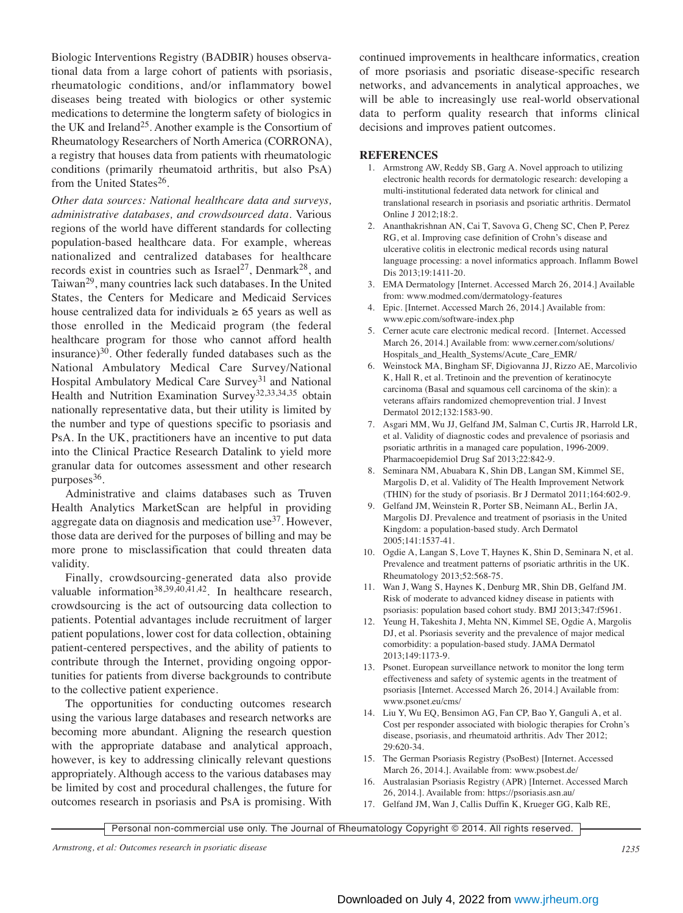Biologic Interventions Registry (BADBIR) houses observational data from a large cohort of patients with psoriasis, rheumatologic conditions, and/or inflammatory bowel diseases being treated with biologics or other systemic medications to determine the longterm safety of biologics in the UK and Ireland<sup>25</sup>. Another example is the Consortium of Rheumatology Researchers of North America (CORRONA), a registry that houses data from patients with rheumatologic conditions (primarily rheumatoid arthritis, but also PsA) from the United States<sup>26</sup>.

*Other data sources: National healthcare data and surveys, administrative databases, and crowdsourced data.* Various regions of the world have different standards for collecting population-based healthcare data. For example, whereas nationalized and centralized databases for healthcare records exist in countries such as Israel<sup>27</sup>, Denmark<sup>28</sup>, and Taiwan29, many countries lack such databases. In the United States, the Centers for Medicare and Medicaid Services house centralized data for individuals  $\geq 65$  years as well as those enrolled in the Medicaid program (the federal healthcare program for those who cannot afford health insurance) $30$ . Other federally funded databases such as the National Ambulatory Medical Care Survey/National Hospital Ambulatory Medical Care Survey<sup>31</sup> and National Health and Nutrition Examination Survey<sup>32,33,34,35</sup> obtain nationally representative data, but their utility is limited by the number and type of questions specific to psoriasis and PsA. In the UK, practitioners have an incentive to put data into the Clinical Practice Research Datalink to yield more granular data for outcomes assessment and other research purposes<sup>36</sup>.

Administrative and claims databases such as Truven Health Analytics MarketScan are helpful in providing aggregate data on diagnosis and medication use<sup>37</sup>. However, those data are derived for the purposes of billing and may be more prone to misclassification that could threaten data validity.

Finally, crowdsourcing-generated data also provide valuable information38,39,40,41,42. In healthcare research, crowdsourcing is the act of outsourcing data collection to patients. Potential advantages include recruitment of larger patient populations, lower cost for data collection, obtaining patient-centered perspectives, and the ability of patients to contribute through the Internet, providing ongoing opportunities for patients from diverse backgrounds to contribute to the collective patient experience.

The opportunities for conducting outcomes research using the various large databases and research networks are becoming more abundant. Aligning the research question with the appropriate database and analytical approach, however, is key to addressing clinically relevant questions appropriately. Although access to the various databases may be limited by cost and procedural challenges, the future for outcomes research in psoriasis and PsA is promising. With continued improvements in healthcare informatics, creation of more psoriasis and psoriatic disease-specific research networks, and advancements in analytical approaches, we will be able to increasingly use real-world observational data to perform quality research that informs clinical decisions and improves patient outcomes.

## **REFERENCES**

- 1. Armstrong AW, Reddy SB, Garg A. Novel approach to utilizing electronic health records for dermatologic research: developing a multi-institutional federated data network for clinical and translational research in psoriasis and psoriatic arthritis. Dermatol Online J 2012;18:2.
- 2. Ananthakrishnan AN, Cai T, Savova G, Cheng SC, Chen P, Perez RG, et al. Improving case definition of Crohn's disease and ulcerative colitis in electronic medical records using natural language processing: a novel informatics approach. Inflamm Bowel Dis 2013;19:1411-20.
- 3. EMA Dermatology [Internet. Accessed March 26, 2014.] Available from: www.modmed.com/dermatology-features
- 4. Epic. [Internet. Accessed March 26, 2014.] Available from: www.epic.com/software-index.php
- 5. Cerner acute care electronic medical record. [Internet. Accessed March 26, 2014.] Available from: www.cerner.com/solutions/ Hospitals\_and\_Health\_Systems/Acute\_Care\_EMR/
- 6. Weinstock MA, Bingham SF, Digiovanna JJ, Rizzo AE, Marcolivio K, Hall R, et al. Tretinoin and the prevention of keratinocyte carcinoma (Basal and squamous cell carcinoma of the skin): a veterans affairs randomized chemoprevention trial. J Invest Dermatol 2012;132:1583-90.
- 7. Asgari MM, Wu JJ, Gelfand JM, Salman C, Curtis JR, Harrold LR, et al. Validity of diagnostic codes and prevalence of psoriasis and psoriatic arthritis in a managed care population, 1996-2009. Pharmacoepidemiol Drug Saf 2013;22:842-9.
- 8. Seminara NM, Abuabara K, Shin DB, Langan SM, Kimmel SE, Margolis D, et al. Validity of The Health Improvement Network (THIN) for the study of psoriasis. Br J Dermatol 2011;164:602-9.
- 9. Gelfand JM, Weinstein R, Porter SB, Neimann AL, Berlin JA, Margolis DJ. Prevalence and treatment of psoriasis in the United Kingdom: a population-based study. Arch Dermatol 2005;141:1537-41.
- 10. Ogdie A, Langan S, Love T, Haynes K, Shin D, Seminara N, et al. Prevalence and treatment patterns of psoriatic arthritis in the UK. Rheumatology 2013;52:568-75.
- 11. Wan J, Wang S, Haynes K, Denburg MR, Shin DB, Gelfand JM. Risk of moderate to advanced kidney disease in patients with psoriasis: population based cohort study. BMJ 2013;347:f5961.
- 12. Yeung H, Takeshita J, Mehta NN, Kimmel SE, Ogdie A, Margolis DJ, et al. Psoriasis severity and the prevalence of major medical comorbidity: a population-based study. JAMA Dermatol 2013;149:1173-9.
- 13. Psonet. European surveillance network to monitor the long term effectiveness and safety of systemic agents in the treatment of psoriasis [Internet. Accessed March 26, 2014.] Available from: www.psonet.eu/cms/
- 14. Liu Y, Wu EQ, Bensimon AG, Fan CP, Bao Y, Ganguli A, et al. Cost per responder associated with biologic therapies for Crohn's disease, psoriasis, and rheumatoid arthritis. Adv Ther 2012; 29:620-34.
- 15. The German Psoriasis Registry (PsoBest) [Internet. Accessed March 26, 2014.]. Available from: www.psobest.de/
- 16. Australasian Psoriasis Registry (APR) [Internet. Accessed March 26, 2014.]. Available from: https://psoriasis.asn.au/
- 17. Gelfand JM, Wan J, Callis Duffin K, Krueger GG, Kalb RE,